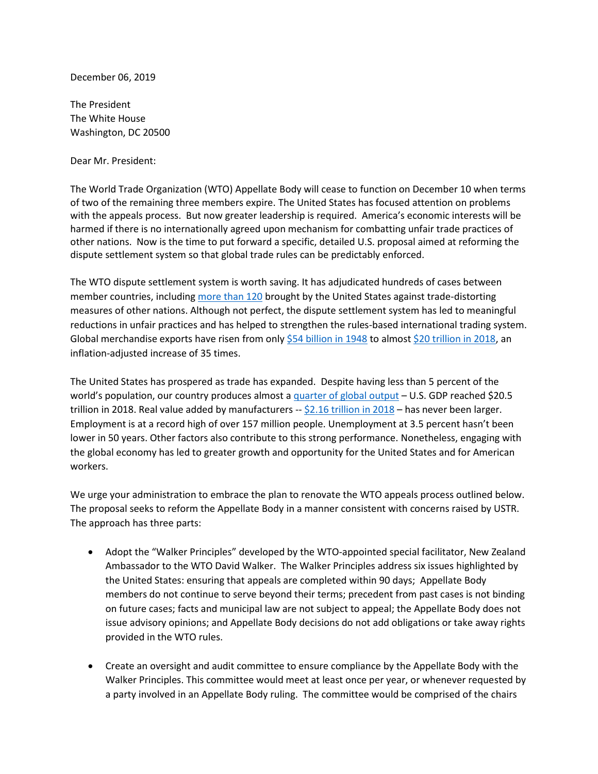December 06, 2019

The President The White House Washington, DC 20500

Dear Mr. President:

The World Trade Organization (WTO) Appellate Body will cease to function on December 10 when terms of two of the remaining three members expire. The United States has focused attention on problems with the appeals process. But now greater leadership is required. America's economic interests will be harmed if there is no internationally agreed upon mechanism for combatting unfair trade practices of other nations. Now is the time to put forward a specific, detailed U.S. proposal aimed at reforming the dispute settlement system so that global trade rules can be predictably enforced.

The WTO dispute settlement system is worth saving. It has adjudicated hundreds of cases between member countries, including [more than 120](https://www.wto.org/english/tratop_e/dispu_e/find_dispu_cases_e.htm?year=none&subject=none&agreement=a11&member1=none&member2=none&complainant1=true&complainant2=true&respondent1=true&respondent2=true&thirdparty1=false&thirdparty2=false) brought by the United States against trade-distorting measures of other nations. Although not perfect, the dispute settlement system has led to meaningful reductions in unfair practices and has helped to strengthen the rules-based international trading system. Global merchandise exports have risen from only [\\$54 billion in 1948](https://www.un.org/en/development/desa/policy/wess/wess_archive/searchable_archive/1948_WESS_Full.pdf) to almost [\\$20 trillion in 2018,](https://data.wto.org/) an inflation-adjusted increase of 35 times.

The United States has prospered as trade has expanded. Despite having less than 5 percent of the world's population, our country produces almost a [quarter of global output](https://data.worldbank.org/indicator/ny.gdp.mktp.cd?view=map.) – U.S. GDP reached \$20.5 trillion in 2018. Real value added by manufacturers -- [\\$2.16 trillion in 2018](https://apps.bea.gov/iTable/iTable.cfm?reqid=56&step=2&isuri=1#reqid=56&step=2&isuri=1) – has never been larger. Employment is at a record high of over 157 million people. Unemployment at 3.5 percent hasn't been lower in 50 years. Other factors also contribute to this strong performance. Nonetheless, engaging with the global economy has led to greater growth and opportunity for the United States and for American workers.

We urge your administration to embrace the plan to renovate the WTO appeals process outlined below. The proposal seeks to reform the Appellate Body in a manner consistent with concerns raised by USTR. The approach has three parts:

- Adopt the "Walker Principles" developed by the WTO-appointed special facilitator, New Zealand Ambassador to the WTO David Walker. The Walker Principles address six issues highlighted by the United States: ensuring that appeals are completed within 90 days; Appellate Body members do not continue to serve beyond their terms; precedent from past cases is not binding on future cases; facts and municipal law are not subject to appeal; the Appellate Body does not issue advisory opinions; and Appellate Body decisions do not add obligations or take away rights provided in the WTO rules.
- Create an oversight and audit committee to ensure compliance by the Appellate Body with the Walker Principles. This committee would meet at least once per year, or whenever requested by a party involved in an Appellate Body ruling. The committee would be comprised of the chairs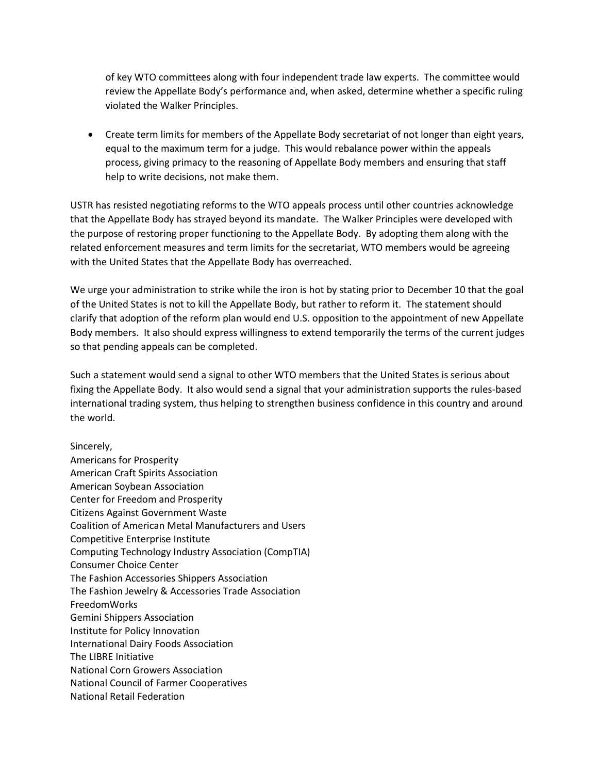of key WTO committees along with four independent trade law experts. The committee would review the Appellate Body's performance and, when asked, determine whether a specific ruling violated the Walker Principles.

• Create term limits for members of the Appellate Body secretariat of not longer than eight years, equal to the maximum term for a judge. This would rebalance power within the appeals process, giving primacy to the reasoning of Appellate Body members and ensuring that staff help to write decisions, not make them.

USTR has resisted negotiating reforms to the WTO appeals process until other countries acknowledge that the Appellate Body has strayed beyond its mandate. The Walker Principles were developed with the purpose of restoring proper functioning to the Appellate Body. By adopting them along with the related enforcement measures and term limits for the secretariat, WTO members would be agreeing with the United States that the Appellate Body has overreached.

We urge your administration to strike while the iron is hot by stating prior to December 10 that the goal of the United States is not to kill the Appellate Body, but rather to reform it. The statement should clarify that adoption of the reform plan would end U.S. opposition to the appointment of new Appellate Body members. It also should express willingness to extend temporarily the terms of the current judges so that pending appeals can be completed.

Such a statement would send a signal to other WTO members that the United States is serious about fixing the Appellate Body. It also would send a signal that your administration supports the rules-based international trading system, thus helping to strengthen business confidence in this country and around the world.

## Sincerely,

Americans for Prosperity American Craft Spirits Association American Soybean Association Center for Freedom and Prosperity Citizens Against Government Waste Coalition of American Metal Manufacturers and Users Competitive Enterprise Institute Computing Technology Industry Association (CompTIA) Consumer Choice Center The Fashion Accessories Shippers Association The Fashion Jewelry & Accessories Trade Association FreedomWorks Gemini Shippers Association Institute for Policy Innovation International Dairy Foods Association The LIBRE Initiative National Corn Growers Association National Council of Farmer Cooperatives National Retail Federation